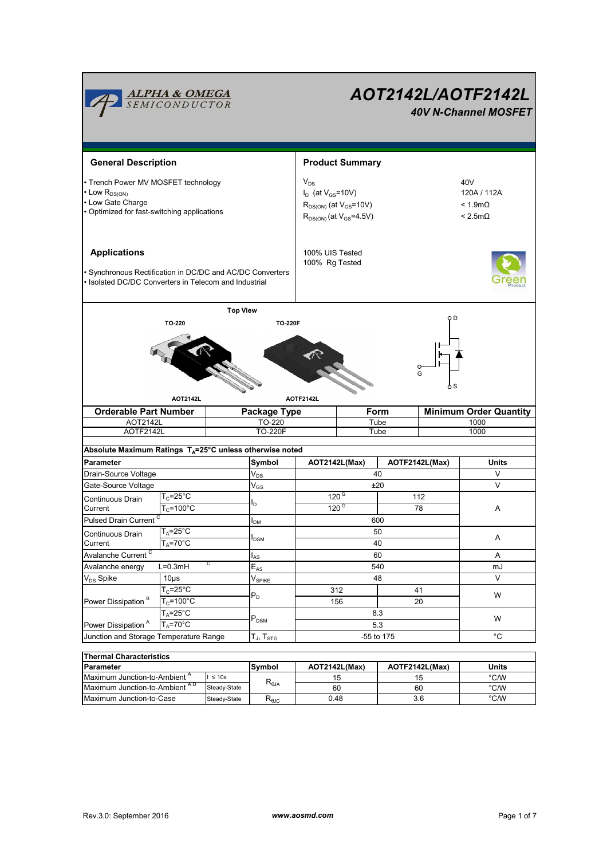

| Thermal Characteristics                  |              |                                           |               |                |               |  |  |  |  |  |  |
|------------------------------------------|--------------|-------------------------------------------|---------------|----------------|---------------|--|--|--|--|--|--|
| <b>IParameter</b>                        |              | Svmbol                                    | AOT2142L(Max) | AOTF2142L(Max) | <b>Units</b>  |  |  |  |  |  |  |
| Maximum Junction-to-Ambient <sup>A</sup> | $t \leq 10s$ | $R_{0JA}$                                 | 15            |                | °C/W          |  |  |  |  |  |  |
| Maximum Junction-to-Ambient AD           | Steady-State |                                           | 60            | 60             | °C/W          |  |  |  |  |  |  |
| <b>IMaximum Junction-to-Case</b>         | Steady-State | $\mathsf{R}_{\theta\mathsf{J}\mathsf{C}}$ | 0.48          | 3.6            | $\degree$ C/W |  |  |  |  |  |  |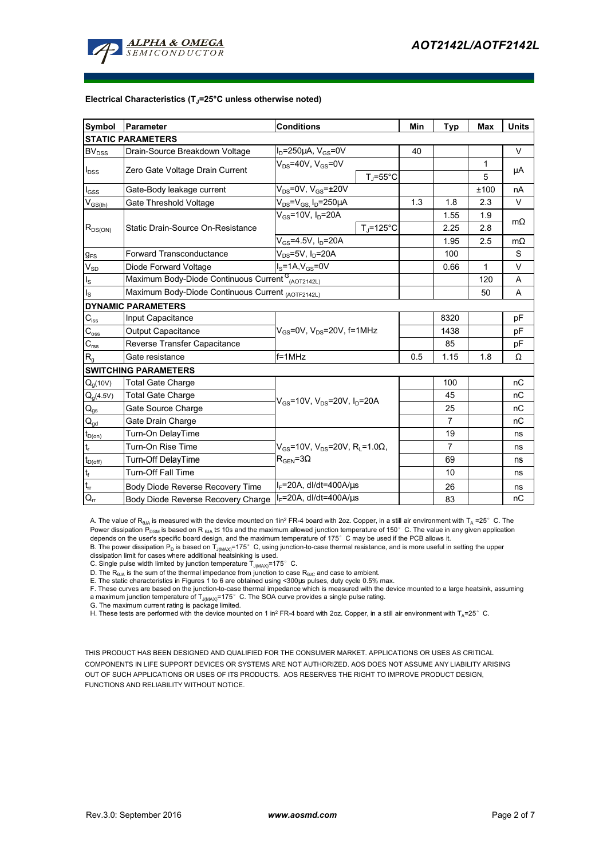

#### **Electrical Characteristics (TJ=25°C unless otherwise noted)**

| <b>Symbol</b>                          | Parameter                                                                | <b>Conditions</b>                                                                                 |                      | Min | <b>Typ</b>     | Max  | <b>Units</b> |  |  |  |  |
|----------------------------------------|--------------------------------------------------------------------------|---------------------------------------------------------------------------------------------------|----------------------|-----|----------------|------|--------------|--|--|--|--|
| <b>STATIC PARAMETERS</b>               |                                                                          |                                                                                                   |                      |     |                |      |              |  |  |  |  |
| $\mathsf{BV}_{\mathsf{DSS}}$           | Drain-Source Breakdown Voltage                                           | $I_D = 250 \mu A$ , $V_{GS} = 0V$                                                                 |                      | 40  |                |      | V            |  |  |  |  |
| $I_{\text{DSS}}$                       | Zero Gate Voltage Drain Current                                          | $V_{DS}$ =40V, $V_{GS}$ =0V                                                                       |                      |     |                | 1    |              |  |  |  |  |
|                                        |                                                                          |                                                                                                   | $T_{\rm J}$ =55°C    |     |                | 5    | μA           |  |  |  |  |
| $I_{GSS}$                              | Gate-Body leakage current                                                | $V_{DS}$ =0V, $V_{GS}$ = $\pm$ 20V                                                                |                      |     |                | ±100 | nA           |  |  |  |  |
| $V_{GS$                                | $V_{DS} = V_{GS}$ , $I_D = 250 \mu A$<br>Gate Threshold Voltage          |                                                                                                   |                      | 1.3 | 1.8            | 2.3  | V            |  |  |  |  |
| $R_{DS(ON)}$                           | Static Drain-Source On-Resistance                                        | $V_{GS}$ =10V, $I_D$ =20A                                                                         |                      |     | 1.55           | 1.9  | $m\Omega$    |  |  |  |  |
|                                        |                                                                          |                                                                                                   | $T_i = 125^{\circ}C$ |     | 2.25           | 2.8  |              |  |  |  |  |
|                                        |                                                                          | $V_{GS} = 4.5V$ , $I_D = 20A$                                                                     |                      |     | 1.95           | 2.5  | $m\Omega$    |  |  |  |  |
| $g_{FS}$                               | $V_{DS}$ =5V, $I_D$ =20A<br><b>Forward Transconductance</b>              |                                                                                                   |                      |     | 100            |      | S            |  |  |  |  |
| $V_{SD}$                               | $I_S = 1A, V_{GS} = 0V$<br>Diode Forward Voltage                         |                                                                                                   |                      |     | 0.66           | 1    | V            |  |  |  |  |
| $I_{\rm S}$                            | Maximum Body-Diode Continuous Current <sup>G</sup> <sub>(AOT2142L)</sub> |                                                                                                   |                      |     |                | 120  | A            |  |  |  |  |
| $I_{\rm S}$                            | Maximum Body-Diode Continuous Current (AOTF2142L)                        |                                                                                                   |                      |     |                | 50   | A            |  |  |  |  |
|                                        | <b>DYNAMIC PARAMETERS</b>                                                |                                                                                                   |                      |     |                |      |              |  |  |  |  |
| $C_{\mathsf{iss}}$                     | Input Capacitance                                                        |                                                                                                   |                      |     | 8320           |      | pF           |  |  |  |  |
| $\mathrm{C_{oss}}$                     | Output Capacitance                                                       | $V_{GS}$ =0V, $V_{DS}$ =20V, f=1MHz                                                               |                      |     | 1438           |      | pF           |  |  |  |  |
| $C_{\rm rss}$                          | Reverse Transfer Capacitance                                             |                                                                                                   |                      |     | 85             |      | рF           |  |  |  |  |
| $R_{q}$                                | Gate resistance                                                          | $f = 1$ MHz                                                                                       |                      | 0.5 | 1.15           | 1.8  | Ω            |  |  |  |  |
|                                        | <b>SWITCHING PARAMETERS</b>                                              |                                                                                                   |                      |     |                |      |              |  |  |  |  |
| $Q_g(10V)$                             | <b>Total Gate Charge</b>                                                 |                                                                                                   |                      |     | 100            |      | nC           |  |  |  |  |
| $Q_g(4.5V)$                            | <b>Total Gate Charge</b>                                                 | $V_{GS}$ =10V, $V_{DS}$ =20V, $I_{D}$ =20A                                                        |                      |     | 45             |      | nC           |  |  |  |  |
| $\mathsf{Q}_{\mathsf{gs}}$             | Gate Source Charge                                                       |                                                                                                   |                      |     | 25             |      | пC           |  |  |  |  |
| $\mathsf{Q}_{\underline{\mathsf{gd}}}$ | Gate Drain Charge                                                        |                                                                                                   |                      |     | $\overline{7}$ |      | nC           |  |  |  |  |
| $t_{D(0n)}$                            | Turn-On DelayTime                                                        |                                                                                                   |                      |     | 19             |      | ns           |  |  |  |  |
| $\mathbf{t}_\mathrm{r}$                | Turn-On Rise Time                                                        | $V_{GS}$ =10V, V <sub>DS</sub> =20V, R <sub>L</sub> =1.0 $\Omega$ ,<br>$R_{\text{GEN}} = 3\Omega$ |                      |     | $\overline{7}$ |      | ns           |  |  |  |  |
| $t_{D(off)}$                           | Turn-Off DelayTime                                                       |                                                                                                   |                      |     | 69             |      | ns           |  |  |  |  |
| $\mathsf{t}_{\mathsf{f}}$              | Turn-Off Fall Time                                                       |                                                                                                   |                      |     | 10             |      | ns           |  |  |  |  |
| $t_{\rm cr}$                           | Body Diode Reverse Recovery Time                                         | $I_F = 20A$ , dl/dt=400A/ $\mu$ s                                                                 |                      |     | 26             |      | ns           |  |  |  |  |
| $Q_{rr}$                               | Body Diode Reverse Recovery Charge                                       | $I_F$ =20A, dl/dt=400A/ $\mu$ s                                                                   |                      |     | 83             |      | nC           |  |  |  |  |

A. The value of R<sub>BJA</sub> is measured with the device mounted on 1in<sup>2</sup> FR-4 board with 2oz. Copper, in a still air environment with T<sub>A</sub> =25° C. The Power dissipation  $P_{DSM}$  is based on R <sub>θJA</sub> t≤ 10s and the maximum allowed junction temperature of 150°C. The value in any given application depends on the user's specific board design, and the maximum temperature of 175°C may be used if the PCB allows it.

B. The power dissipation P<sub>D</sub> is based on T<sub>J(MAX)</sub>=175°C, using junction-to-case thermal resistance, and is more useful in setting the upper<br>dissipation limit for cases where additional heatsinking is used.

C. Single pulse width limited by junction temperature  $T_{J(MAX)}$ =175°C.

D. The  $R_{\text{BJA}}$  is the sum of the thermal impedance from junction to case  $R_{\text{BIG}}$  and case to ambient.

E. The static characteristics in Figures 1 to 6 are obtained using <300µs pulses, duty cycle 0.5% max.

F. These curves are based on the junction-to-case thermal impedance which is measured with the device mounted to a large heatsink, assuming a maximum junction temperature of T<sub>J(MAX)</sub>=175°C. The SOA curve provides a single pulse rating.<br>G. The maximum current rating is package limited.

H. These tests are performed with the device mounted on 1 in<sup>2</sup> FR-4 board with 2oz. Copper, in a still air environment with T<sub>A</sub>=25°C.

THIS PRODUCT HAS BEEN DESIGNED AND QUALIFIED FOR THE CONSUMER MARKET. APPLICATIONS OR USES AS CRITICAL COMPONENTS IN LIFE SUPPORT DEVICES OR SYSTEMS ARE NOT AUTHORIZED. AOS DOES NOT ASSUME ANY LIABILITY ARISING OUT OF SUCH APPLICATIONS OR USES OF ITS PRODUCTS. AOS RESERVES THE RIGHT TO IMPROVE PRODUCT DESIGN, FUNCTIONS AND RELIABILITY WITHOUT NOTICE.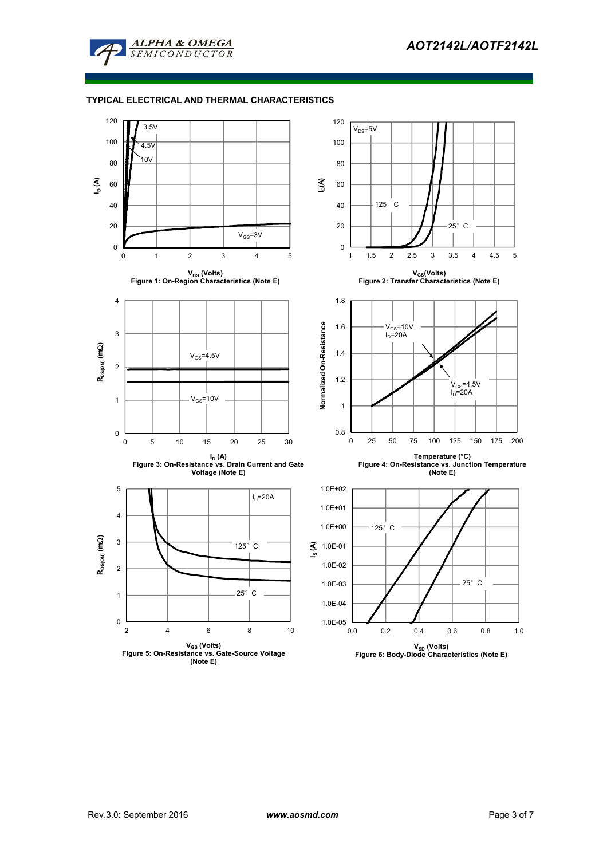

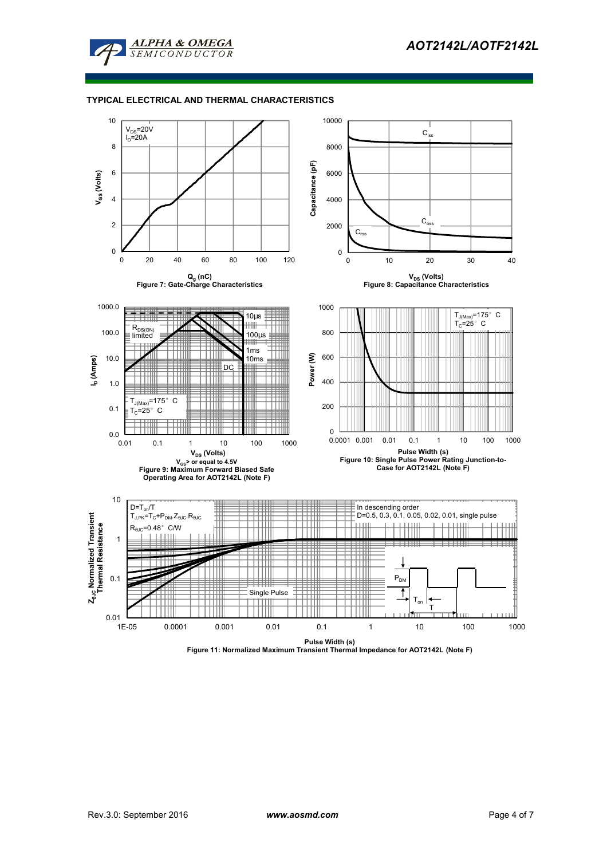



**Pulse Width (s) Figure 11: Normalized Maximum Transient Thermal Impedance for AOT2142L (Note F)**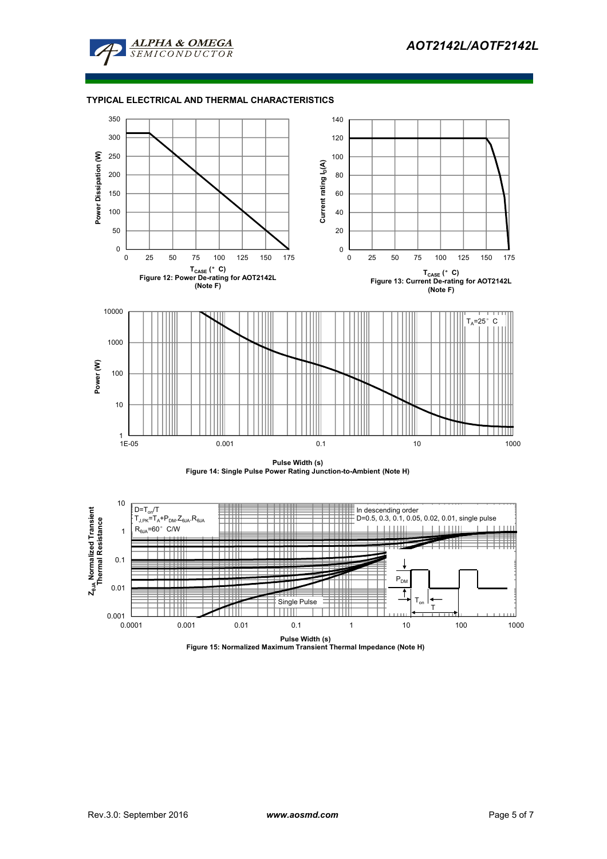





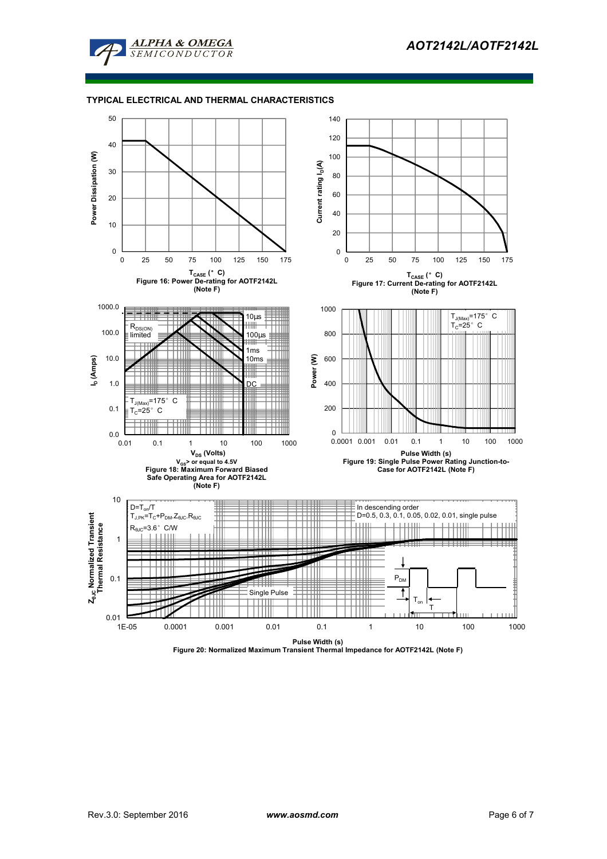